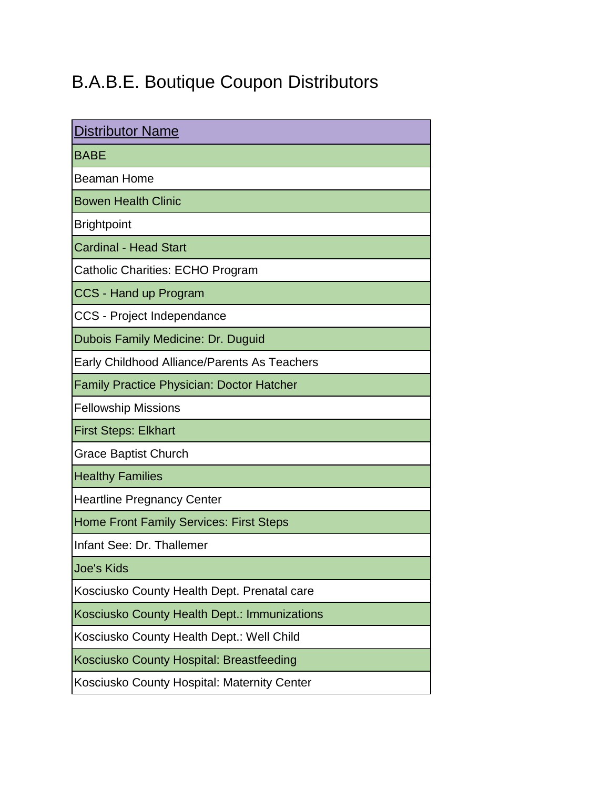## B.A.B.E. Boutique Coupon Distributors

| <b>Distributor Name</b>                          |
|--------------------------------------------------|
| <b>BABE</b>                                      |
| <b>Beaman Home</b>                               |
| <b>Bowen Health Clinic</b>                       |
| <b>Brightpoint</b>                               |
| <b>Cardinal - Head Start</b>                     |
| Catholic Charities: ECHO Program                 |
| CCS - Hand up Program                            |
| CCS - Project Independance                       |
| Dubois Family Medicine: Dr. Duguid               |
| Early Childhood Alliance/Parents As Teachers     |
| <b>Family Practice Physician: Doctor Hatcher</b> |
| <b>Fellowship Missions</b>                       |
| <b>First Steps: Elkhart</b>                      |
| <b>Grace Baptist Church</b>                      |
| <b>Healthy Families</b>                          |
| <b>Heartline Pregnancy Center</b>                |
| <b>Home Front Family Services: First Steps</b>   |
| Infant See: Dr. Thallemer                        |
| <b>Joe's Kids</b>                                |
| Kosciusko County Health Dept. Prenatal care      |
| Kosciusko County Health Dept.: Immunizations     |
| Kosciusko County Health Dept.: Well Child        |
| Kosciusko County Hospital: Breastfeeding         |
| Kosciusko County Hospital: Maternity Center      |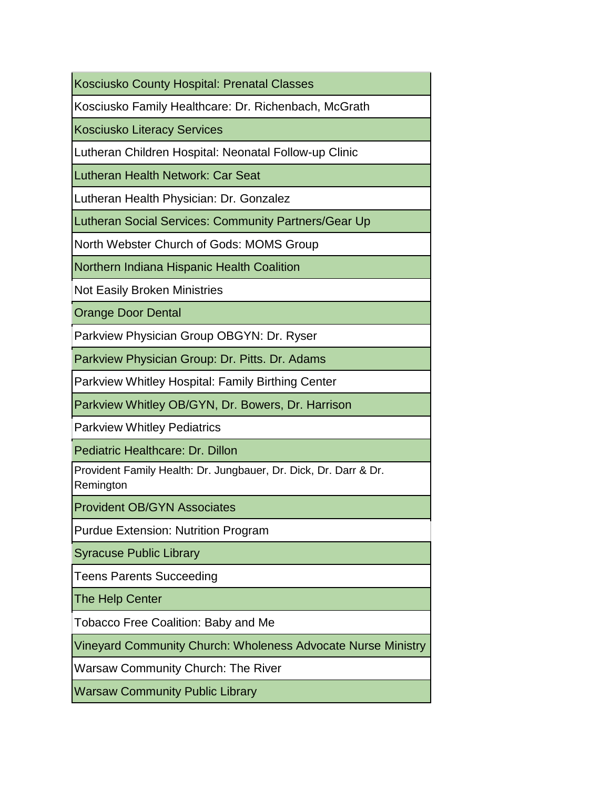Kosciusko County Hospital: Prenatal Classes

Kosciusko Family Healthcare: Dr. Richenbach, McGrath

Kosciusko Literacy Services

Lutheran Children Hospital: Neonatal Follow-up Clinic

Lutheran Health Network: Car Seat

Lutheran Health Physician: Dr. Gonzalez

Lutheran Social Services: Community Partners/Gear Up

North Webster Church of Gods: MOMS Group

Northern Indiana Hispanic Health Coalition

Not Easily Broken Ministries

Orange Door Dental

Parkview Physician Group OBGYN: Dr. Ryser

Parkview Physician Group: Dr. Pitts. Dr. Adams

Parkview Whitley Hospital: Family Birthing Center

Parkview Whitley OB/GYN, Dr. Bowers, Dr. Harrison

Parkview Whitley Pediatrics

Pediatric Healthcare: Dr. Dillon

Provident Family Health: Dr. Jungbauer, Dr. Dick, Dr. Darr & Dr. Remington

Provident OB/GYN Associates

Purdue Extension: Nutrition Program

Syracuse Public Library

Teens Parents Succeeding

The Help Center

Tobacco Free Coalition: Baby and Me

Vineyard Community Church: Wholeness Advocate Nurse Ministry

Warsaw Community Church: The River

Warsaw Community Public Library